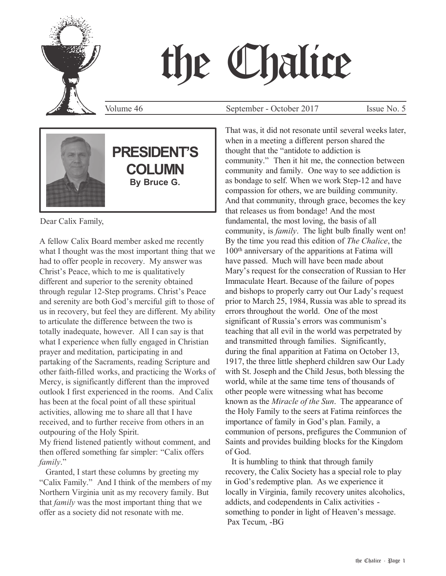

# the Chalice



# **PRESIDENT'S COLUMN By Bruce G.**

Dear Calix Family,

A fellow Calix Board member asked me recently what I thought was the most important thing that we had to offer people in recovery. My answer was Christ's Peace, which to me is qualitatively different and superior to the serenity obtained through regular 12-Step programs. Christ's Peace and serenity are both God's merciful gift to those of us in recovery, but feel they are different. My ability to articulate the difference between the two is totally inadequate, however. All I can say is that what I experience when fully engaged in Christian prayer and meditation, participating in and partaking of the Sacraments, reading Scripture and other faith-filled works, and practicing the Works of Mercy, is significantly different than the improved outlook I first experienced in the rooms. And Calix has been at the focal point of all these spiritual activities, allowing me to share all that I have received, and to further receive from others in an outpouring of the Holy Spirit.

My friend listened patiently without comment, and then offered something far simpler: "Calix offers *family*."

 Granted, I start these columns by greeting my "Calix Family." And I think of the members of my Northern Virginia unit as my recovery family. But that *family* was the most important thing that we offer as a society did not resonate with me.

Volume 46 September - October 2017 Issue No. 5

That was, it did not resonate until several weeks later, when in a meeting a different person shared the thought that the "antidote to addiction is community." Then it hit me, the connection between community and family. One way to see addiction is as bondage to self. When we work Step-12 and have compassion for others, we are building community. And that community, through grace, becomes the key that releases us from bondage! And the most fundamental, the most loving, the basis of all community, is *family*. The light bulb finally went on! By the time you read this edition of *The Chalice*, the 100th anniversary of the apparitions at Fatima will have passed. Much will have been made about Mary's request for the consecration of Russian to Her Immaculate Heart. Because of the failure of popes and bishops to properly carry out Our Lady's request prior to March 25, 1984, Russia was able to spread its errors throughout the world. One of the most significant of Russia's errors was communism's teaching that all evil in the world was perpetrated by and transmitted through families. Significantly, during the final apparition at Fatima on October 13, 1917, the three little shepherd children saw Our Lady with St. Joseph and the Child Jesus, both blessing the world, while at the same time tens of thousands of other people were witnessing what has become known as the *Miracle of the Sun*. The appearance of the Holy Family to the seers at Fatima reinforces the importance of family in God's plan. Family, a communion of persons, prefigures the Communion of Saints and provides building blocks for the Kingdom of God.

It is humbling to think that through family recovery, the Calix Society has a special role to play in God's redemptive plan. As we experience it locally in Virginia, family recovery unites alcoholics, addicts, and codependents in Calix activities something to ponder in light of Heaven's message. Pax Tecum, -BG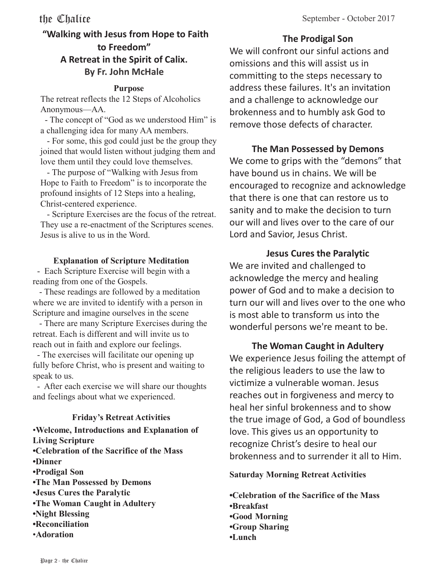# **"Walking with Jesus from Hope to Faith to Freedom" A Retreat in the Spirit of Calix. By Fr. John McHale**

#### **Purpose**

The retreat reflects the 12 Steps of Alcoholics Anonymous—AA.

- The concept of "God as we understood Him" is a challenging idea for many AA members.

- For some, this god could just be the group they joined that would listen without judging them and love them until they could love themselves.

- The purpose of "Walking with Jesus from Hope to Faith to Freedom" is to incorporate the profound insights of 12 Steps into a healing, Christ-centered experience.

- Scripture Exercises are the focus of the retreat. They use a re-enactment of the Scriptures scenes. Jesus is alive to us in the Word.

#### **Explanation of Scripture Meditation**

 - Each Scripture Exercise will begin with a reading from one of the Gospels.

- These readings are followed by a meditation where we are invited to identify with a person in Scripture and imagine ourselves in the scene

- There are many Scripture Exercises during the retreat. Each is different and will invite us to reach out in faith and explore our feelings.

- The exercises will facilitate our opening up fully before Christ, who is present and waiting to speak to us.

- After each exercise we will share our thoughts and feelings about what we experienced.

#### **Friday's Retreat Activities**

•**Welcome, Introductions and Explanation of Living Scripture •Celebration of the Sacrifice of the Mass •Dinner •Prodigal Son •The Man Possessed by Demons •Jesus Cures the Paralytic •The Woman Caught in Adultery •Night Blessing •Reconciliation** •**Adoration** 

#### **The Prodigal Son**

We will confront our sinful actions and omissions and this will assist us in committing to the steps necessary to address these failures. It's an invitation and a challenge to acknowledge our brokenness and to humbly ask God to remove those defects of character.

#### **The Man Possessed by Demons**

We come to grips with the "demons" that have bound us in chains. We will be encouraged to recognize and acknowledge that there is one that can restore us to sanity and to make the decision to turn our will and lives over to the care of our Lord and Savior, Jesus Christ.

#### **Jesus Cures the Paralytic**

We are invited and challenged to acknowledge the mercy and healing power of God and to make a decision to turn our will and lives over to the one who is most able to transform us into the wonderful persons we're meant to be.

# **The Woman Caught in Adultery**  We experience Jesus foiling the attempt of the religious leaders to use the law to victimize a vulnerable woman. Jesus reaches out in forgiveness and mercy to heal her sinful brokenness and to show the true image of God, a God of boundless

love. This gives us an opportunity to recognize Christ's desire to heal our brokenness and to surrender it all to Him.

#### **Saturday Morning Retreat Activities**

**•Celebration of the Sacrifice of the Mass •Breakfast •Good Morning •Group Sharing •Lunch**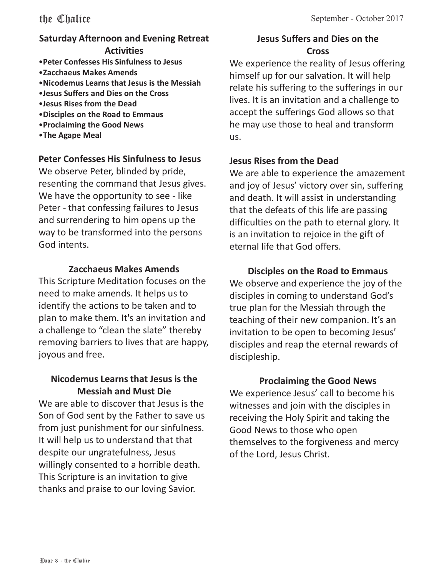# **Saturday Afternoon and Evening Retreat Activities**

- •**Peter Confesses His Sinfulness to Jesus**
- •**Zacchaeus Makes Amends**
- •**Nicodemus Learns that Jesus is the Messiah**
- •**Jesus Suffers and Dies on the Cross**
- •**Jesus Rises from the Dead**
- •**Disciples on the Road to Emmaus**
- •**Proclaiming the Good News**
- •**The Agape Meal**

# **Peter Confesses His Sinfulness to Jesus**

We observe Peter, blinded by pride, resenting the command that Jesus gives. We have the opportunity to see - like Peter - that confessing failures to Jesus and surrendering to him opens up the way to be transformed into the persons God intents.

# **Zacchaeus Makes Amends**

This Scripture Meditation focuses on the need to make amends. It helps us to identify the actions to be taken and to plan to make them. It's an invitation and a challenge to "clean the slate" thereby removing barriers to lives that are happy, joyous and free.

# **Nicodemus Learns that Jesus is the Messiah and Must Die**

We are able to discover that Jesus is the Son of God sent by the Father to save us from just punishment for our sinfulness. It will help us to understand that that despite our ungratefulness, Jesus willingly consented to a horrible death. This Scripture is an invitation to give thanks and praise to our loving Savior.

# **Jesus Suffers and Dies on the Cross**

We experience the reality of Jesus offering himself up for our salvation. It will help relate his suffering to the sufferings in our lives. It is an invitation and a challenge to accept the sufferings God allows so that he may use those to heal and transform us.

# **Jesus Rises from the Dead**

We are able to experience the amazement and joy of Jesus' victory over sin, suffering and death. It will assist in understanding that the defeats of this life are passing difficulties on the path to eternal glory. It is an invitation to rejoice in the gift of eternal life that God offers.

**Disciples on the Road to Emmaus** 

We observe and experience the joy of the disciples in coming to understand God's true plan for the Messiah through the teaching of their new companion. It's an invitation to be open to becoming Jesus' disciples and reap the eternal rewards of discipleship.

# **Proclaiming the Good News**

We experience Jesus' call to become his witnesses and join with the disciples in receiving the Holy Spirit and taking the Good News to those who open themselves to the forgiveness and mercy of the Lord, Jesus Christ.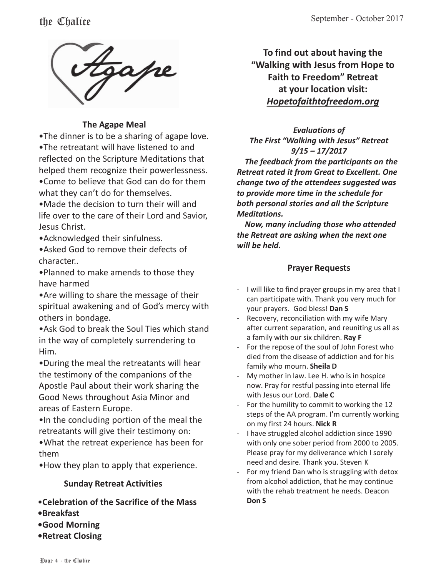

#### **The Agape Meal**

•The dinner is to be a sharing of agape love. •The retreatant will have listened to and reflected on the Scripture Meditations that helped them recognize their powerlessness. •Come to believe that God can do for them

what they can't do for themselves.

•Made the decision to turn their will and life over to the care of their Lord and Savior, Jesus Christ.

•Acknowledged their sinfulness.

•Asked God to remove their defects of character..

•Planned to make amends to those they have harmed

•Are willing to share the message of their spiritual awakening and of God's mercy with others in bondage.

•Ask God to break the Soul Ties which stand in the way of completely surrendering to Him.

•During the meal the retreatants will hear the testimony of the companions of the Apostle Paul about their work sharing the Good News throughout Asia Minor and areas of Eastern Europe.

•In the concluding portion of the meal the retreatants will give their testimony on:

•What the retreat experience has been for them

•How they plan to apply that experience.

# **Sunday Retreat Activities**

- •**Celebration of the Sacrifice of the Mass**
- **•Breakfast**
- **•Good Morning**
- **•Retreat Closing**

**To find out about having the "Walking with Jesus from Hope to Faith to Freedom" Retreat at your location visit:**  *Hopetofaithtofreedom.org* 

*Evaluations of The First "Walking with Jesus" Retreat 9/15 – 17/2017 The feedback from the participants on the Retreat rated it from Great to Excellent. One change two of the attendees suggested was to provide more time in the schedule for both personal stories and all the Scripture Meditations.* 

 *Now, many including those who attended the Retreat are asking when the next one will be held.*

#### **Prayer Requests**

- I will like to find prayer groups in my area that I can participate with. Thank you very much for your prayers. God bless! **Dan S**
- Recovery, reconciliation with my wife Mary after current separation, and reuniting us all as a family with our six children. **Ray F**
- For the repose of the soul of John Forest who died from the disease of addiction and for his family who mourn. **Sheila D**
- My mother in law. Lee H. who is in hospice now. Pray for restful passing into eternal life with Jesus our Lord. **Dale C**
- For the humility to commit to working the 12 steps of the AA program. I'm currently working on my first 24 hours. **Nick R**
- I have struggled alcohol addiction since 1990 with only one sober period from 2000 to 2005. Please pray for my deliverance which I sorely need and desire. Thank you. Steven K
- For my friend Dan who is struggling with detox from alcohol addiction, that he may continue with the rehab treatment he needs. Deacon **Don S**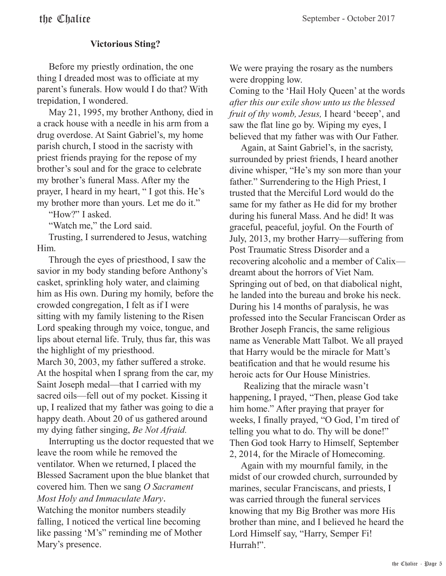# **Victorious Sting?**

 Before my priestly ordination, the one thing I dreaded most was to officiate at my parent's funerals. How would I do that? With trepidation, I wondered.

 May 21, 1995, my brother Anthony, died in a crack house with a needle in his arm from a drug overdose. At Saint Gabriel's, my home parish church, I stood in the sacristy with priest friends praying for the repose of my brother's soul and for the grace to celebrate my brother's funeral Mass. After my the prayer, I heard in my heart, " I got this. He's my brother more than yours. Let me do it."

"How?" I asked.

"Watch me," the Lord said.

 Trusting, I surrendered to Jesus, watching Him.

 Through the eyes of priesthood, I saw the savior in my body standing before Anthony's casket, sprinkling holy water, and claiming him as His own. During my homily, before the crowded congregation, I felt as if I were sitting with my family listening to the Risen Lord speaking through my voice, tongue, and lips about eternal life. Truly, thus far, this was the highlight of my priesthood. March 30, 2003, my father suffered a stroke. At the hospital when I sprang from the car, my Saint Joseph medal—that I carried with my sacred oils—fell out of my pocket. Kissing it up, I realized that my father was going to die a happy death. About 20 of us gathered around my dying father singing, *Be Not Afraid.*

 Interrupting us the doctor requested that we leave the room while he removed the ventilator. When we returned, I placed the Blessed Sacrament upon the blue blanket that covered him. Then we sang *O Sacrament Most Holy and Immaculate Mary*. Watching the monitor numbers steadily falling, I noticed the vertical line becoming like passing 'M's" reminding me of Mother Mary's presence.

We were praying the rosary as the numbers were dropping low.

Coming to the 'Hail Holy Queen' at the words *after this our exile show unto us the blessed fruit of thy womb, Jesus,* I heard 'beeep', and saw the flat line go by. Wiping my eyes, I believed that my father was with Our Father.

 Again, at Saint Gabriel's, in the sacristy, surrounded by priest friends, I heard another divine whisper, "He's my son more than your father." Surrendering to the High Priest, I trusted that the Merciful Lord would do the same for my father as He did for my brother during his funeral Mass. And he did! It was graceful, peaceful, joyful. On the Fourth of July, 2013, my brother Harry—suffering from Post Traumatic Stress Disorder and a recovering alcoholic and a member of Calix dreamt about the horrors of Viet Nam. Springing out of bed, on that diabolical night, he landed into the bureau and broke his neck. During his 14 months of paralysis, he was professed into the Secular Franciscan Order as Brother Joseph Francis, the same religious name as Venerable Matt Talbot. We all prayed that Harry would be the miracle for Matt's beatification and that he would resume his heroic acts for Our House Ministries.

 Realizing that the miracle wasn't happening, I prayed, "Then, please God take him home." After praying that prayer for weeks, I finally prayed, "O God, I'm tired of telling you what to do. Thy will be done!" Then God took Harry to Himself, September 2, 2014, for the Miracle of Homecoming.

 Again with my mournful family, in the midst of our crowded church, surrounded by marines, secular Franciscans, and priests, I was carried through the funeral services knowing that my Big Brother was more His brother than mine, and I believed he heard the Lord Himself say, "Harry, Semper Fi! Hurrah!".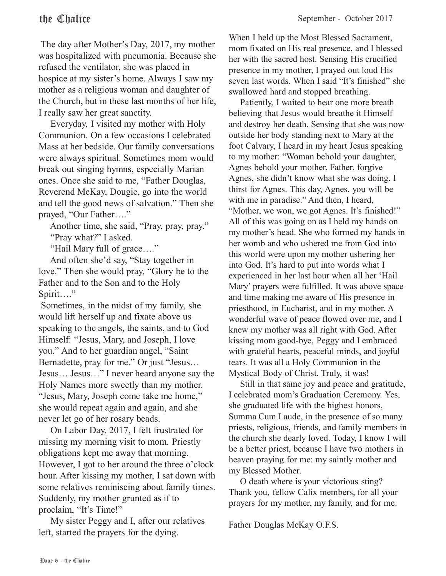The day after Mother's Day, 2017, my mother was hospitalized with pneumonia. Because she refused the ventilator, she was placed in hospice at my sister's home. Always I saw my mother as a religious woman and daughter of the Church, but in these last months of her life, I really saw her great sanctity.

 Everyday, I visited my mother with Holy Communion. On a few occasions I celebrated Mass at her bedside. Our family conversations were always spiritual. Sometimes mom would break out singing hymns, especially Marian ones. Once she said to me, "Father Douglas, Reverend McKay, Dougie, go into the world and tell the good news of salvation." Then she prayed, "Our Father…."

 Another time, she said, "Pray, pray, pray." "Pray what?" I asked.

"Hail Mary full of grace…."

 And often she'd say, "Stay together in love." Then she would pray, "Glory be to the Father and to the Son and to the Holy Spirit…."

 Sometimes, in the midst of my family, she would lift herself up and fixate above us speaking to the angels, the saints, and to God Himself: "Jesus, Mary, and Joseph, I love you." And to her guardian angel, "Saint Bernadette, pray for me." Or just "Jesus… Jesus… Jesus…" I never heard anyone say the Holy Names more sweetly than my mother. "Jesus, Mary, Joseph come take me home," she would repeat again and again, and she never let go of her rosary beads.

 On Labor Day, 2017, I felt frustrated for missing my morning visit to mom. Priestly obligations kept me away that morning. However, I got to her around the three o'clock hour. After kissing my mother, I sat down with some relatives reminiscing about family times. Suddenly, my mother grunted as if to proclaim, "It's Time!"

 My sister Peggy and I, after our relatives left, started the prayers for the dying.

When I held up the Most Blessed Sacrament, mom fixated on His real presence, and I blessed her with the sacred host. Sensing His crucified presence in my mother, I prayed out loud His seven last words. When I said "It's finished" she swallowed hard and stopped breathing.

 Patiently, I waited to hear one more breath believing that Jesus would breathe it Himself and destroy her death. Sensing that she was now outside her body standing next to Mary at the foot Calvary, I heard in my heart Jesus speaking to my mother: "Woman behold your daughter, Agnes behold your mother. Father, forgive Agnes, she didn't know what she was doing. I thirst for Agnes. This day, Agnes, you will be with me in paradise." And then, I heard, "Mother, we won, we got Agnes. It's finished!" All of this was going on as I held my hands on my mother's head. She who formed my hands in her womb and who ushered me from God into this world were upon my mother ushering her into God. It's hard to put into words what I experienced in her last hour when all her 'Hail Mary' prayers were fulfilled. It was above space and time making me aware of His presence in priesthood, in Eucharist, and in my mother. A wonderful wave of peace flowed over me, and I knew my mother was all right with God. After kissing mom good-bye, Peggy and I embraced with grateful hearts, peaceful minds, and joyful tears. It was all a Holy Communion in the Mystical Body of Christ. Truly, it was!

 Still in that same joy and peace and gratitude, I celebrated mom's Graduation Ceremony. Yes, she graduated life with the highest honors, Summa Cum Laude, in the presence of so many priests, religious, friends, and family members in the church she dearly loved. Today, I know I will be a better priest, because I have two mothers in heaven praying for me: my saintly mother and my Blessed Mother.

 O death where is your victorious sting? Thank you, fellow Calix members, for all your prayers for my mother, my family, and for me.

Father Douglas McKay O.F.S.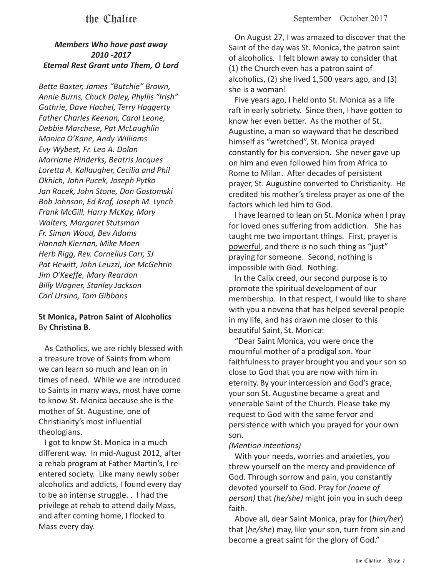# the Chalice

#### *Members Who have past away 2010 -2017 Eternal Rest Grant unto Them, O Lord*

*Bette Baxter, James "Butchie" Brown, Annie Burns, Chuck Daley, Phyllis "Irish" Guthrie, Dave Hachel, Terry Haggerty Father Charles Keenan, Carol Leone, Debbie Marchese, Pat McLaughlin Monica O'Kane, Andy Williams Evy Wybest, Fr. Leo A. Dolan Marriane Hinderks, Beatris Jacques Loretta A. Kallaugher, Cecilia and Phil Oknich, John Pucek, Joseph Pytko*  . *Jan Racek, John Stone, Don Gostomski Bob Johnson, Ed Krof, Joseph M. Lynch Frank McGill, Harry McKay, Mary Walters, Margaret Stutsman Fr. Simon Wood, Bev Adams Hannah Kiernan, Mike Moen Herb Rigg, Rev. Cornelius Carr, SJ Pat Hewitt, John Leuzzi, Joe McGehrin Jim O'Keeffe, Mary Reardon Billy Wagner, Stanley Jackson Carl Ursino, Tom Gibbons* 

#### **St Monica, Patron Saint of Alcoholics**  By **Christina B.**

 As Catholics, we are richly blessed with a treasure trove of Saints from whom we can learn so much and lean on in times of need. While we are introduced to Saints in many ways, most have come to know St. Monica because she is the mother of St. Augustine, one of Christianity's most influential theologians.

 I got to know St. Monica in a much different way. In mid-August 2012, after a rehab program at Father Martin's, I reentered society. Like many newly sober alcoholics and addicts, I found every day to be an intense struggle. . I had the privilege at rehab to attend daily Mass, and after coming home, I flocked to Mass every day.

 On August 27, I was amazed to discover that the Saint of the day was St. Monica, the patron saint of alcoholics. I felt blown away to consider that (1) the Church even has a patron saint of alcoholics, (2) she lived 1,500 years ago, and (3) she is a woman!

 Five years ago, I held onto St. Monica as a life raft in early sobriety. Since then, I have gotten to know her even better. As the mother of St. Augustine, a man so wayward that he described himself as "wretched", St. Monica prayed constantly for his conversion. She never gave up on him and even followed him from Africa to Rome to Milan. After decades of persistent prayer, St. Augustine converted to Christianity. He credited his mother's tireless prayer as one of the factors which led him to God.

 I have learned to lean on St. Monica when I pray for loved ones suffering from addiction. She has taught me two important things. First, prayer is powerful, and there is no such thing as "just" praying for someone. Second, nothing is impossible with God. Nothing.

 In the Calix creed, our second purpose is to promote the spiritual development of our membership. In that respect, I would like to share with you a novena that has helped several people in my life, and has drawn me closer to this beautiful Saint, St. Monica:

 "Dear Saint Monica, you were once the mournful mother of a prodigal son. Your faithfulness to prayer brought you and your son so close to God that you are now with him in eternity. By your intercession and God's grace, your son St. Augustine became a great and venerable Saint of the Church. Please take my request to God with the same fervor and persistence with which you prayed for your own son.

#### *(Mention intentions)*

 With your needs, worries and anxieties, you threw yourself on the mercy and providence of God. Through sorrow and pain, you constantly devoted yourself to God. Pray for *(name of person)* that *(he/she)* might join you in such deep faith.

 Above all, dear Saint Monica, pray for (*him/her*) that (*he/she*) may, like your son, turn from sin and become a great saint for the glory of God."